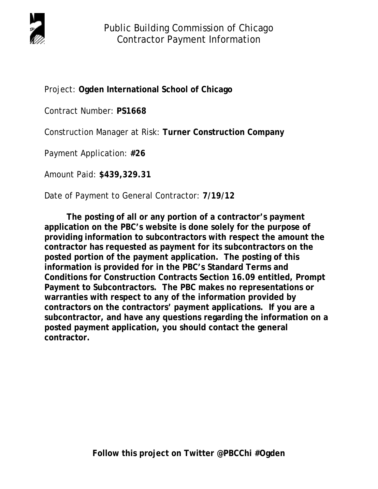

Project: **Ogden International School of Chicago**

Contract Number: **PS1668**

Construction Manager at Risk: **Turner Construction Company** 

Payment Application: **#26** 

Amount Paid: **\$439,329.31**

Date of Payment to General Contractor: **7/19/12** 

 **The posting of all or any portion of a contractor's payment application on the PBC's website is done solely for the purpose of providing information to subcontractors with respect the amount the contractor has requested as payment for its subcontractors on the posted portion of the payment application. The posting of this information is provided for in the PBC's Standard Terms and Conditions for Construction Contracts Section 16.09 entitled, Prompt Payment to Subcontractors. The PBC makes no representations or warranties with respect to any of the information provided by contractors on the contractors' payment applications. If you are a subcontractor, and have any questions regarding the information on a posted payment application, you should contact the general contractor.**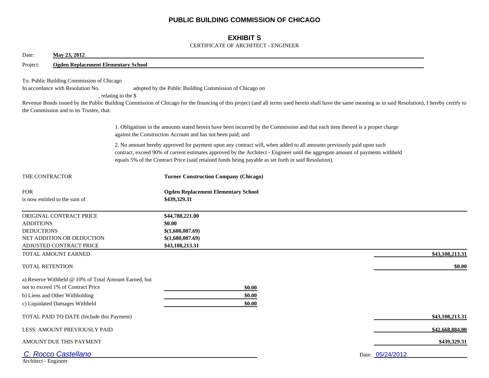## **PUBLIC BUILDING COMMISSION OF CHICAGO**

## **EXHIBIT S**

#### CERTIFICATE OF ARCHITECT - ENGINEER

| May 23, 2012<br>Date:                                                                                                                                           |                                                                                                                                                                                                                                                                                                                                                                |                 |
|-----------------------------------------------------------------------------------------------------------------------------------------------------------------|----------------------------------------------------------------------------------------------------------------------------------------------------------------------------------------------------------------------------------------------------------------------------------------------------------------------------------------------------------------|-----------------|
| Project:<br><b>Ogden Replacement Elementary School</b>                                                                                                          |                                                                                                                                                                                                                                                                                                                                                                |                 |
| To: Public Building Commission of Chicago<br>In accordance with Resolution No.<br>the Commission and to its Trustee, that:                                      | adopted by the Public Building Commission of Chicago on<br>, relating to the \$<br>Revenue Bonds issued by the Public Building Commission of Chicago for the financing of this project (and all terms used herein shall have the same meaning as in said Resolution), I hereby certify to                                                                      |                 |
|                                                                                                                                                                 | 1. Obligations in the amounts stated herein have been incurred by the Commission and that each item thereof is a proper charge<br>against the Construction Account and has not been paid; and                                                                                                                                                                  |                 |
|                                                                                                                                                                 | 2. No amount hereby approved for payment upon any contract will, when added to all amounts previously paid upon such<br>contract, exceed 90% of current estimates approved by the Architect - Engineer until the aggregate amount of payments withheld<br>equals 5% of the Contract Price (said retained funds being payable as set forth in said Resolution). |                 |
| THE CONTRACTOR                                                                                                                                                  | <b>Turner Construction Company (Chicago)</b>                                                                                                                                                                                                                                                                                                                   |                 |
| <b>FOR</b><br>is now entitled to the sum of                                                                                                                     | <b>Ogden Replacement Elementary School</b><br>\$439,329.31                                                                                                                                                                                                                                                                                                     |                 |
| ORIGINAL CONTRACT PRICE<br><b>ADDITIONS</b><br><b>DEDUCTIONS</b><br>NET ADDITION OR DEDUCTION<br>ADJUSTED CONTRACT PRICE                                        | \$44,788,221.00<br>\$0.00<br>\$(1,680,007.69)<br>\$(1,680,007.69)<br>\$43,108,213.31                                                                                                                                                                                                                                                                           |                 |
| TOTAL AMOUNT EARNED                                                                                                                                             |                                                                                                                                                                                                                                                                                                                                                                | \$43,108,213.31 |
| <b>TOTAL RETENTION</b>                                                                                                                                          |                                                                                                                                                                                                                                                                                                                                                                | \$0.00          |
| a) Reserve Withheld @ 10% of Total Amount Earned, but<br>not to exceed 1% of Contract Price<br>b) Liens and Other Withholding<br>c) Liquidated Damages Withheld | \$0.00<br>\$0.00<br>\$0.00                                                                                                                                                                                                                                                                                                                                     |                 |
| TOTAL PAID TO DATE (Include this Payment)                                                                                                                       |                                                                                                                                                                                                                                                                                                                                                                | \$43,108,213.31 |
| <b>LESS: AMOUNT PREVIOUSLY PAID</b>                                                                                                                             |                                                                                                                                                                                                                                                                                                                                                                | \$42,668,884.00 |
| AMOUNT DUE THIS PAYMENT                                                                                                                                         |                                                                                                                                                                                                                                                                                                                                                                | \$439,329.31    |
| <b>Rocco Castellano</b><br>Architect - Engineer                                                                                                                 | Date: 05/24/2012                                                                                                                                                                                                                                                                                                                                               |                 |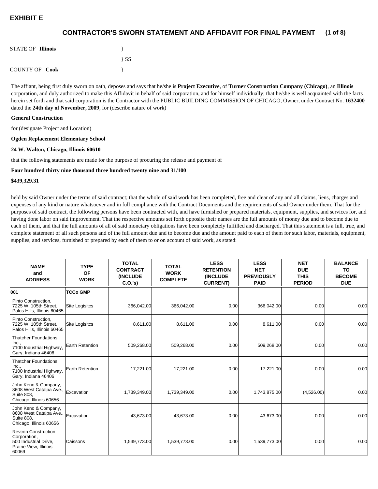#### **(1 of 8) CONTRACTOR'S SWORN STATEMENT AND AFFIDAVIT FOR FINAL PAYMENT**

| <b>STATE OF Illinois</b> |          |
|--------------------------|----------|
|                          | $\{SS\}$ |
| <b>COUNTY OF Cook</b>    |          |

The affiant, being first duly sworn on oath, deposes and says that he/she is **Project Executive**, of **Turner Construction Company (Chicago)**, an **Illinois** corporation, and duly authorized to make this Affidavit in behalf of said corporation, and for himself individually; that he/she is well acquainted with the facts herein set forth and that said corporation is the Contractor with the PUBLIC BUILDING COMMISSION OF CHICAGO, Owner, under Contract No. **1632400** dated the **24th day of November, 2009**, for (describe nature of work)

#### **General Construction**

for (designate Project and Location)

#### **Ogden Replacement Elementary School**

#### **24 W. Walton, Chicago, Illinois 60610**

that the following statements are made for the purpose of procuring the release and payment of

#### **Four hundred thirty nine thousand three hundred twenty nine and 31/100**

#### **\$439,329.31**

held by said Owner under the terms of said contract; that the whole of said work has been completed, free and clear of any and all claims, liens, charges and expenses of any kind or nature whatsoever and in full compliance with the Contract Documents and the requirements of said Owner under them. That for the purposes of said contract, the following persons have been contracted with, and have furnished or prepared materials, equipment, supplies, and services for, and having done labor on said improvement. That the respective amounts set forth opposite their names are the full amounts of money due and to become due to each of them, and that the full amounts of all of said monetary obligations have been completely fulfilled and discharged. That this statement is a full, true, and complete statement of all such persons and of the full amount due and to become due and the amount paid to each of them for such labor, materials, equipment, supplies, and services, furnished or prepared by each of them to or on account of said work, as stated:

| <b>NAME</b><br>and<br><b>ADDRESS</b>                                                                   | <b>TYPE</b><br>OF<br><b>WORK</b> | <b>TOTAL</b><br><b>CONTRACT</b><br><b>(INCLUDE</b><br>C.O.'s | <b>TOTAL</b><br><b>WORK</b><br><b>COMPLETE</b> | <b>LESS</b><br><b>RETENTION</b><br><b>(INCLUDE</b><br><b>CURRENT)</b> | <b>LESS</b><br><b>NET</b><br><b>PREVIOUSLY</b><br><b>PAID</b> | <b>NET</b><br><b>DUE</b><br><b>THIS</b><br><b>PERIOD</b> | <b>BALANCE</b><br><b>TO</b><br><b>BECOME</b><br><b>DUE</b> |
|--------------------------------------------------------------------------------------------------------|----------------------------------|--------------------------------------------------------------|------------------------------------------------|-----------------------------------------------------------------------|---------------------------------------------------------------|----------------------------------------------------------|------------------------------------------------------------|
| 001                                                                                                    | <b>TCCo GMP</b>                  |                                                              |                                                |                                                                       |                                                               |                                                          |                                                            |
| Pinto Construction,<br>7225 W. 105th Street.<br>Palos Hills, Illinois 60465                            | Site Logisitcs                   | 366,042.00                                                   | 366,042.00                                     | 0.00                                                                  | 366,042.00                                                    | 0.00                                                     | 0.00                                                       |
| Pinto Construction.<br>7225 W. 105th Street,<br>Palos Hills, Illinois 60465                            | <b>Site Logisitcs</b>            | 8,611.00                                                     | 8,611.00                                       | 0.00                                                                  | 8,611.00                                                      | 0.00                                                     | 0.00                                                       |
| Thatcher Foundations,<br>Inc.,<br>7100 Industrial Highway,<br>Gary, Indiana 46406                      | Earth Retention                  | 509,268.00                                                   | 509,268.00                                     | 0.00                                                                  | 509,268.00                                                    | 0.00                                                     | 0.00                                                       |
| Thatcher Foundations,<br>Inc.,<br>7100 Industrial Highway,<br>Gary, Indiana 46406                      | Earth Retention                  | 17,221.00                                                    | 17,221.00                                      | 0.00                                                                  | 17,221.00                                                     | 0.00                                                     | 0.00                                                       |
| John Keno & Company,<br>8608 West Catalpa Ave.,<br>Suite 808.<br>Chicago, Illinois 60656               | Excavation                       | 1,739,349.00                                                 | 1,739,349.00                                   | 0.00                                                                  | 1,743,875.00                                                  | (4,526.00)                                               | 0.00                                                       |
| John Keno & Company,<br>8608 West Catalpa Ave.,<br>Suite 808.<br>Chicago, Illinois 60656               | Excavation                       | 43,673.00                                                    | 43,673.00                                      | 0.00                                                                  | 43,673.00                                                     | 0.00                                                     | 0.00                                                       |
| <b>Revcon Construction</b><br>Corporation,<br>500 Industrial Drive,<br>Prairie View, Illinois<br>60069 | Caissons                         | 1,539,773.00                                                 | 1,539,773.00                                   | 0.00                                                                  | 1,539,773.00                                                  | 0.00                                                     | 0.00                                                       |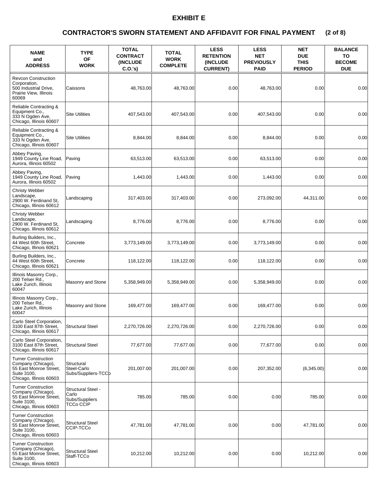## **(2 of 8) CONTRACTOR'S SWORN STATEMENT AND AFFIDAVIT FOR FINAL PAYMENT**

| <b>NAME</b><br>and<br><b>ADDRESS</b>                                                                                 | <b>TYPE</b><br><b>OF</b><br><b>WORK</b>                    | <b>TOTAL</b><br><b>CONTRACT</b><br><b>(INCLUDE)</b><br>C.O.'s) | <b>TOTAL</b><br><b>WORK</b><br><b>COMPLETE</b> | <b>LESS</b><br><b>RETENTION</b><br>(INCLUDE<br><b>CURRENT)</b> | <b>LESS</b><br><b>NET</b><br><b>PREVIOUSLY</b><br><b>PAID</b> | <b>NET</b><br><b>DUE</b><br><b>THIS</b><br><b>PERIOD</b> | <b>BALANCE</b><br>TO<br><b>BECOME</b><br><b>DUE</b> |
|----------------------------------------------------------------------------------------------------------------------|------------------------------------------------------------|----------------------------------------------------------------|------------------------------------------------|----------------------------------------------------------------|---------------------------------------------------------------|----------------------------------------------------------|-----------------------------------------------------|
| <b>Revcon Construction</b><br>Corporation,<br>500 Industrial Drive,<br>Prairie View, Illinois<br>60069               | Caissons                                                   | 48,763.00                                                      | 48,763.00                                      | 0.00                                                           | 48,763.00                                                     | 0.00                                                     | 0.00                                                |
| Reliable Contracting &<br>Equipment Co.,<br>333 N Ogden Ave.<br>Chicago, Illinois 60607                              | <b>Site Utilities</b>                                      | 407,543.00                                                     | 407,543.00                                     | 0.00                                                           | 407,543.00                                                    | 0.00                                                     | 0.00                                                |
| Reliable Contracting &<br>Equipment Co.,<br>333 N Ogden Ave.<br>Chicago, Illinois 60607                              | <b>Site Utilities</b>                                      | 8,844.00                                                       | 8,844.00                                       | 0.00                                                           | 8,844.00                                                      | 0.00                                                     | 0.00                                                |
| Abbey Paving,<br>1949 County Line Road,<br>Aurora, Illinois 60502                                                    | Paving                                                     | 63,513.00                                                      | 63,513.00                                      | 0.00                                                           | 63,513.00                                                     | 0.00                                                     | 0.00                                                |
| Abbey Paving,<br>1949 County Line Road,<br>Aurora. Illinois 60502                                                    | Paving                                                     | 1,443.00                                                       | 1,443.00                                       | 0.00                                                           | 1,443.00                                                      | 0.00                                                     | 0.00                                                |
| <b>Christy Webber</b><br>Landscape,<br>2900 W. Ferdinand St.<br>Chicago, Illinois 60612                              | Landscaping                                                | 317,403.00                                                     | 317,403.00                                     | 0.00                                                           | 273,092.00                                                    | 44.311.00                                                | 0.00                                                |
| Christy Webber<br>Landscape,<br>2900 W. Ferdinand St.<br>Chicago, Illinois 60612                                     | Landscaping                                                | 8.776.00                                                       | 8,776.00                                       | 0.00                                                           | 8,776.00                                                      | 0.00                                                     | 0.00                                                |
| Burling Builders, Inc.,<br>44 West 60th Street,<br>Chicago, Illinois 60621                                           | Concrete                                                   | 3,773,149.00                                                   | 3,773,149.00                                   | 0.00                                                           | 3,773,149.00                                                  | 0.00                                                     | 0.00                                                |
| Burling Builders, Inc.,<br>44 West 60th Street,<br>Chicago, Illinois 60621                                           | Concrete                                                   | 118,122.00                                                     | 118,122.00                                     | 0.00                                                           | 118,122.00                                                    | 0.00                                                     | 0.00                                                |
| Illinois Masonry Corp.,<br>200 Telser Rd.,<br>Lake Zurich, Illinois<br>60047                                         | Masonry and Stone                                          | 5,358,949.00                                                   | 5,358,949.00                                   | 0.00                                                           | 5,358,949.00                                                  | 0.00                                                     | 0.00                                                |
| Illinois Masonry Corp.,<br>200 Telser Rd<br>Lake Zurich, Illinois<br>60047                                           | Masonry and Stone                                          | 169,477.00                                                     | 169,477.00                                     | 0.00                                                           | 169,477.00                                                    | 0.00                                                     | 0.00                                                |
| Carlo Steel Corporation,<br>3100 East 87th Street,<br>Chicago, Illinois 60617                                        | <b>Structural Steel</b>                                    | 2,270,726.00                                                   | 2,270,726.00                                   | 0.00                                                           | 2,270,726.00                                                  | 0.00                                                     | 0.00                                                |
| Carlo Steel Corporation,<br>3100 East 87th Street,<br>Chicago, Illinois 60617                                        | <b>Structural Steel</b>                                    | 77,677.00                                                      | 77,677.00                                      | 0.00                                                           | 77,677.00                                                     | 0.00                                                     | 0.00                                                |
| <b>Turner Construction</b><br>Company (Chicago),<br>55 East Monroe Street,<br>Suite 3100,<br>Chicago, Illinois 60603 | Structural<br>Steel-Carlo<br>Subs/Suppliers-TCCb           | 201,007.00                                                     | 201,007.00                                     | 0.00                                                           | 207,352.00                                                    | (6,345.00)                                               | 0.00                                                |
| <b>Turner Construction</b><br>Company (Chicago),<br>55 East Monroe Street.<br>Suite 3100,<br>Chicago, Illinois 60603 | Structural Steel -<br>Carlo<br>Subs/Suppliers<br>TCCo CCIP | 785.00                                                         | 785.00                                         | 0.00                                                           | 0.00                                                          | 785.00                                                   | 0.00                                                |
| <b>Turner Construction</b><br>Company (Chicago),<br>55 East Monroe Street,<br>Suite 3100,<br>Chicago, Illinois 60603 | <b>Structural Steel</b><br>CCIP-TCCo                       | 47,781.00                                                      | 47,781.00                                      | 0.00                                                           | 0.00                                                          | 47,781.00                                                | 0.00                                                |
| <b>Turner Construction</b><br>Company (Chicago),<br>55 East Monroe Street,<br>Suite 3100,<br>Chicago, Illinois 60603 | <b>Structural Steel</b><br>Staff-TCCo                      | 10,212.00                                                      | 10,212.00                                      | 0.00                                                           | 0.00                                                          | 10,212.00                                                | 0.00                                                |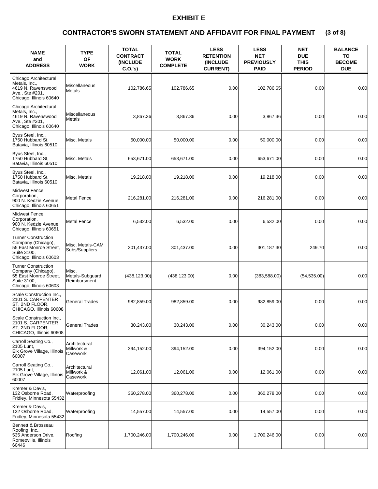## **(3 of 8) CONTRACTOR'S SWORN STATEMENT AND AFFIDAVIT FOR FINAL PAYMENT**

| <b>NAME</b><br>and<br><b>ADDRESS</b>                                                                                 | <b>TYPE</b><br><b>OF</b><br><b>WORK</b>  | <b>TOTAL</b><br><b>CONTRACT</b><br><b>(INCLUDE)</b><br>C.O.'s | <b>TOTAL</b><br><b>WORK</b><br><b>COMPLETE</b> | <b>LESS</b><br><b>RETENTION</b><br>(INCLUDE<br><b>CURRENT)</b> | <b>LESS</b><br><b>NET</b><br><b>PREVIOUSLY</b><br><b>PAID</b> | <b>NET</b><br><b>DUE</b><br><b>THIS</b><br><b>PERIOD</b> | <b>BALANCE</b><br>TO<br><b>BECOME</b><br><b>DUE</b> |
|----------------------------------------------------------------------------------------------------------------------|------------------------------------------|---------------------------------------------------------------|------------------------------------------------|----------------------------------------------------------------|---------------------------------------------------------------|----------------------------------------------------------|-----------------------------------------------------|
| Chicago Architectural<br>Metals. Inc<br>4619 N. Ravenswood<br>Ave., Ste #201,<br>Chicago, Illinois 60640             | <b>Miscellaneous</b><br>Metals           | 102,786.65                                                    | 102,786.65                                     | 0.00                                                           | 102,786.65                                                    | 0.00                                                     | 0.00                                                |
| Chicago Architectural<br>Metals, Inc.,<br>4619 N. Ravenswood<br>Ave., Ste #201.<br>Chicago, Illinois 60640           | Miscellaneous<br>Metals                  | 3,867.36                                                      | 3,867.36                                       | 0.00                                                           | 3,867.36                                                      | 0.00                                                     | 0.00                                                |
| Byus Steel, Inc.,<br>1750 Hubbard St.<br>Batavia, Illinois 60510                                                     | Misc. Metals                             | 50,000.00                                                     | 50,000.00                                      | 0.00                                                           | 50,000.00                                                     | 0.00                                                     | 0.00                                                |
| Byus Steel, Inc.,<br>1750 Hubbard St.<br>Batavia, Illinois 60510                                                     | Misc. Metals                             | 653,671.00                                                    | 653,671.00                                     | 0.00                                                           | 653,671.00                                                    | 0.00                                                     | 0.00                                                |
| Byus Steel, Inc.,<br>1750 Hubbard St.<br>Batavia, Illinois 60510                                                     | Misc. Metals                             | 19,218.00                                                     | 19,218.00                                      | 0.00                                                           | 19,218.00                                                     | 0.00                                                     | 0.00                                                |
| <b>Midwest Fence</b><br>Corporation,<br>900 N. Kedzie Avenue,<br>Chicago, Illinois 60651                             | <b>Metal Fence</b>                       | 216,281.00                                                    | 216,281.00                                     | 0.00                                                           | 216,281.00                                                    | 0.00                                                     | 0.00                                                |
| <b>Midwest Fence</b><br>Corporation,<br>900 N. Kedzie Avenue,<br>Chicago, Illinois 60651                             | <b>Metal Fence</b>                       | 6,532.00                                                      | 6,532.00                                       | 0.00                                                           | 6,532.00                                                      | 0.00                                                     | 0.00                                                |
| <b>Turner Construction</b><br>Company (Chicago),<br>55 East Monroe Street,<br>Suite 3100,<br>Chicago, Illinois 60603 | Misc. Metals-CAM<br>Subs/Suppliers       | 301,437.00                                                    | 301,437.00                                     | 0.00                                                           | 301,187.30                                                    | 249.70                                                   | 0.00                                                |
| <b>Turner Construction</b><br>Company (Chicago),<br>55 East Monroe Street,<br>Suite 3100,<br>Chicago, Illinois 60603 | Misc.<br>Metals-Subguard<br>Reimbursment | (438, 123.00)                                                 | (438, 123.00)                                  | 0.00                                                           | (383,588.00)                                                  | (54, 535.00)                                             | 0.00                                                |
| Scale Construction Inc.,<br>2101 S. CARPENTER<br>ST, 2ND FLOOR,<br>CHICAGO, Illinois 60608                           | <b>General Trades</b>                    | 982,859.00                                                    | 982,859.00                                     | 0.00                                                           | 982,859.00                                                    | 0.00                                                     | 0.00                                                |
| Scale Construction Inc.,<br>2101 S. CARPENTER<br>ST, 2ND FLOOR,<br>CHICAGO, Illinois 60608                           | <b>General Trades</b>                    | 30,243.00                                                     | 30,243.00                                      | 0.00                                                           | 30,243.00                                                     | 0.00                                                     | 0.00                                                |
| Carroll Seating Co.,<br>2105 Lunt,<br>Elk Grove Village, Illinois<br>60007                                           | Architectural<br>Millwork &<br>Casework  | 394,152.00                                                    | 394,152.00                                     | 0.00                                                           | 394,152.00                                                    | 0.00                                                     | 0.00                                                |
| Carroll Seating Co.,<br>2105 Lunt,<br>Elk Grove Village, Illinois<br>60007                                           | Architectural<br>Millwork &<br>Casework  | 12,061.00                                                     | 12,061.00                                      | 0.00                                                           | 12,061.00                                                     | 0.00                                                     | 0.00                                                |
| Kremer & Davis,<br>132 Osborne Road,<br>Fridley, Minnesota 55432                                                     | Waterproofing                            | 360,278.00                                                    | 360,278.00                                     | 0.00                                                           | 360,278.00                                                    | 0.00                                                     | 0.00                                                |
| Kremer & Davis,<br>132 Osborne Road,<br>Fridley, Minnesota 55432                                                     | Waterproofing                            | 14,557.00                                                     | 14,557.00                                      | 0.00                                                           | 14,557.00                                                     | 0.00                                                     | 0.00                                                |
| Bennett & Brosseau<br>Roofing, Inc.,<br>535 Anderson Drive,<br>Romeoville, Illinois<br>60446                         | Roofing                                  | 1,700,246.00                                                  | 1,700,246.00                                   | 0.00                                                           | 1,700,246.00                                                  | 0.00                                                     | 0.00                                                |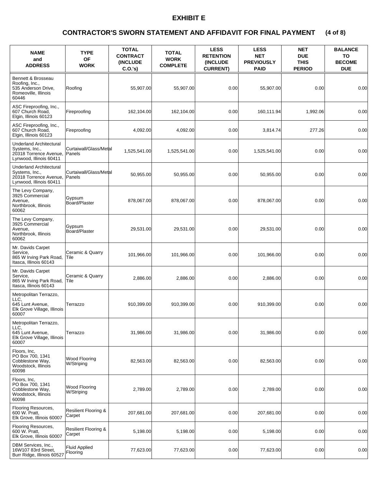## **(4 of 8) CONTRACTOR'S SWORN STATEMENT AND AFFIDAVIT FOR FINAL PAYMENT**

| <b>NAME</b><br>and<br><b>ADDRESS</b>                                                                  | <b>TYPE</b><br><b>OF</b><br><b>WORK</b>   | <b>TOTAL</b><br><b>CONTRACT</b><br><b>(INCLUDE)</b><br>C.O.'s | <b>TOTAL</b><br><b>WORK</b><br><b>COMPLETE</b> | <b>LESS</b><br><b>RETENTION</b><br><b>(INCLUDE)</b><br><b>CURRENT)</b> | <b>LESS</b><br><b>NET</b><br><b>PREVIOUSLY</b><br><b>PAID</b> | <b>NET</b><br><b>DUE</b><br><b>THIS</b><br><b>PERIOD</b> | <b>BALANCE</b><br>TO<br><b>BECOME</b><br><b>DUE</b> |
|-------------------------------------------------------------------------------------------------------|-------------------------------------------|---------------------------------------------------------------|------------------------------------------------|------------------------------------------------------------------------|---------------------------------------------------------------|----------------------------------------------------------|-----------------------------------------------------|
| Bennett & Brosseau<br>Roofing, Inc.,<br>535 Anderson Drive,<br>Romeoville, Illinois<br>60446          | Roofing                                   | 55,907.00                                                     | 55,907.00                                      | 0.00                                                                   | 55,907.00                                                     | 0.00                                                     | 0.00                                                |
| ASC Fireproofing, Inc.,<br>607 Church Road,<br>Elgin, Illinois 60123                                  | Fireproofing                              | 162,104.00                                                    | 162,104.00                                     | 0.00                                                                   | 160.111.94                                                    | 1,992.06                                                 | 0.00                                                |
| ASC Fireproofing, Inc.,<br>607 Church Road,<br>Elgin, Illinois 60123                                  | Fireproofing                              | 4,092.00                                                      | 4,092.00                                       | 0.00                                                                   | 3,814.74                                                      | 277.26                                                   | 0.00                                                |
| Underland Architectural<br>Systems, Inc.,<br>20318 Torrence Avenue,<br>Lynwood, Illinois 60411        | Curtaiwall/Glass/Metal<br>Panels          | 1,525,541.00                                                  | 1,525,541.00                                   | 0.00                                                                   | 1,525,541.00                                                  | 0.00                                                     | 0.00                                                |
| <b>Underland Architectural</b><br>Systems, Inc.,<br>20318 Torrence Avenue,<br>Lynwood, Illinois 60411 | Curtaiwall/Glass/Metal<br><b>Panels</b>   | 50,955.00                                                     | 50,955.00                                      | 0.00                                                                   | 50,955.00                                                     | 0.00                                                     | 0.00                                                |
| The Levy Company,<br>3925 Commercial<br>Avenue.<br>Northbrook, Illinois<br>60062                      | Gypsum<br>Board/Plaster                   | 878,067.00                                                    | 878,067.00                                     | 0.00                                                                   | 878,067.00                                                    | 0.00                                                     | 0.00                                                |
| The Levy Company,<br>3925 Commercial<br>Avenue,<br>Northbrook, Illinois<br>60062                      | Gypsum<br>Board/Plaster                   | 29,531.00                                                     | 29,531.00                                      | 0.00                                                                   | 29,531.00                                                     | 0.00                                                     | 0.00                                                |
| Mr. Davids Carpet<br>Service,<br>865 W Irving Park Road,<br>Itasca, Illinois 60143                    | Ceramic & Quarry<br>Tile                  | 101,966.00                                                    | 101,966.00                                     | 0.00                                                                   | 101,966.00                                                    | 0.00                                                     | 0.00                                                |
| Mr. Davids Carpet<br>Service,<br>865 W Irving Park Road,<br>Itasca, Illinois 60143                    | Ceramic & Quarry<br>lTile.                | 2,886.00                                                      | 2,886.00                                       | 0.00                                                                   | 2,886.00                                                      | 0.00                                                     | 0.00                                                |
| Metropolitan Terrazzo,<br>LLC,<br>645 Lunt Avenue,<br>Elk Grove Village, Illinois<br>60007            | Terrazzo                                  | 910,399.00                                                    | 910,399.00                                     | 0.00                                                                   | 910,399.00                                                    | 0.00                                                     | 0.00                                                |
| Metropolitan Terrazzo,<br>LLC,<br>645 Lunt Avenue,<br>Elk Grove Village, Illinois<br>60007            | Terrazzo                                  | 31,986.00                                                     | 31,986.00                                      | 0.00                                                                   | 31,986.00                                                     | 0.00                                                     | 0.00                                                |
| Floors, Inc.<br>PO Box 700, 1341<br>Cobblestone Way,<br>Woodstock, Illinois<br>60098                  | Wood Flooring<br>W/Striping               | 82,563.00                                                     | 82,563.00                                      | 0.00                                                                   | 82,563.00                                                     | 0.00                                                     | 0.00                                                |
| Floors, Inc.<br>PO Box 700, 1341<br>Cobblestone Way,<br>Woodstock, Illinois<br>60098                  | Wood Flooring<br>W/Striping               | 2,789.00                                                      | 2,789.00                                       | 0.00                                                                   | 2,789.00                                                      | 0.00                                                     | 0.00                                                |
| Flooring Resources,<br>600 W. Pratt,<br>Elk Grove, Illinois 60007                                     | <b>Resilient Flooring &amp;</b><br>Carpet | 207,681.00                                                    | 207,681.00                                     | 0.00                                                                   | 207,681.00                                                    | 0.00                                                     | 0.00                                                |
| Flooring Resources,<br>600 W. Pratt,<br>Elk Grove, Illinois 60007                                     | Resilient Flooring &<br>Carpet            | 5,198.00                                                      | 5,198.00                                       | 0.00                                                                   | 5,198.00                                                      | 0.00                                                     | 0.00                                                |
| DBM Services, Inc.,<br>16W107 83rd Street,<br>Burr Ridge, Illinois 60527                              | <b>Fluid Applied</b><br>Flooring          | 77,623.00                                                     | 77,623.00                                      | 0.00                                                                   | 77,623.00                                                     | 0.00                                                     | 0.00                                                |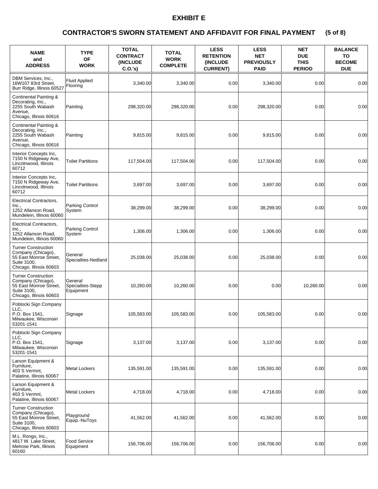## **(5 of 8) CONTRACTOR'S SWORN STATEMENT AND AFFIDAVIT FOR FINAL PAYMENT**

| <b>NAME</b><br>and<br><b>ADDRESS</b>                                                                                 | <b>TYPE</b><br><b>OF</b><br><b>WORK</b>   | <b>TOTAL</b><br><b>CONTRACT</b><br><b>(INCLUDE)</b><br>C.O.'s) | <b>TOTAL</b><br><b>WORK</b><br><b>COMPLETE</b> | <b>LESS</b><br><b>RETENTION</b><br><b>(INCLUDE</b><br><b>CURRENT)</b> | <b>LESS</b><br><b>NET</b><br><b>PREVIOUSLY</b><br><b>PAID</b> | <b>NET</b><br><b>DUE</b><br><b>THIS</b><br><b>PERIOD</b> | <b>BALANCE</b><br>TO<br><b>BECOME</b><br><b>DUE</b> |
|----------------------------------------------------------------------------------------------------------------------|-------------------------------------------|----------------------------------------------------------------|------------------------------------------------|-----------------------------------------------------------------------|---------------------------------------------------------------|----------------------------------------------------------|-----------------------------------------------------|
| DBM Services, Inc.,<br>16W107 83rd Street,<br>Burr Ridge, Illinois 60527                                             | <b>Fluid Applied</b><br>Flooring          | 3,340.00                                                       | 3,340.00                                       | 0.00                                                                  | 3,340.00                                                      | 0.00                                                     | 0.00                                                |
| Continental Painting &<br>Decorating, Inc.,<br>2255 South Wabash<br>Avenue,<br>Chicago, Illinois 60616               | Painting                                  | 298,320.00                                                     | 298,320.00                                     | 0.00                                                                  | 298,320.00                                                    | 0.00                                                     | 0.00                                                |
| Continental Painting &<br>Decorating, Inc.,<br>2255 South Wabash<br>Avenue.<br>Chicago, Illinois 60616               | Painting                                  | 9,815.00                                                       | 9,815.00                                       | 0.00                                                                  | 9,815.00                                                      | 0.00                                                     | 0.00                                                |
| Interior Concepts Inc,<br>7150 N Ridgeway Ave,<br>Lincolnwood, Illinois<br>60712                                     | <b>Toilet Partitions</b>                  | 117,504.00                                                     | 117,504.00                                     | 0.00                                                                  | 117,504.00                                                    | 0.00                                                     | 0.00                                                |
| Interior Concepts Inc,<br>7150 N Ridgeway Ave,<br>Lincolnwood, Illinois<br>60712                                     | <b>Toilet Partitions</b>                  | 3,697.00                                                       | 3,697.00                                       | 0.00                                                                  | 3,697.00                                                      | 0.00                                                     | 0.00                                                |
| <b>Electrical Contractors,</b><br>Inc.,<br>1252 Allanson Road,<br>Mundelein. Illinois 60060                          | Parking Control<br>System                 | 38.299.00                                                      | 38,299.00                                      | 0.00                                                                  | 38,299.00                                                     | 0.00                                                     | 0.00                                                |
| Electrical Contractors,<br>Inc.,<br>1252 Allanson Road,<br>Mundelein, Illinois 60060                                 | Parking Control<br>System                 | 1,306.00                                                       | 1,306.00                                       | 0.00                                                                  | 1,306.00                                                      | 0.00                                                     | 0.00                                                |
| <b>Turner Construction</b><br>Company (Chicago),<br>55 East Monroe Street,<br>Suite 3100,<br>Chicago, Illinois 60603 | General<br>Specialties-Nedland            | 25,038.00                                                      | 25,038.00                                      | 0.00                                                                  | 25,038.00                                                     | 0.00                                                     | 0.00                                                |
| <b>Turner Construction</b><br>Company (Chicago),<br>55 East Monroe Street,<br>Suite 3100,<br>Chicago, Illinois 60603 | General<br>Specialties-Stepp<br>Equipment | 10,260.00                                                      | 10,260.00                                      | 0.00                                                                  | 0.00                                                          | 10.260.00                                                | 0.00                                                |
| Poblocki Sign Company<br>LLC.<br>P.O. Box 1541.<br>Milwaukee, Wisconsin<br>53201-1541                                | Signage                                   | 105,583.00                                                     | 105,583.00                                     | 0.00                                                                  | 105,583.00                                                    | 0.00                                                     | 0.00                                                |
| Poblocki Sign Company<br>LLC.<br>P.O. Box 1541,<br>Milwaukee, Wisconsin<br>53201-1541                                | Signage                                   | 3,137.00                                                       | 3,137.00                                       | 0.00                                                                  | 3,137.00                                                      | 0.00                                                     | 0.00                                                |
| Larson Equipment &<br>Furniture,<br>403 S Vermnt,<br>Palatine, Illinois 60067                                        | <b>Metal Lockers</b>                      | 135,591.00                                                     | 135,591.00                                     | 0.00                                                                  | 135,591.00                                                    | 0.00                                                     | 0.00                                                |
| Larson Equipment &<br>Furniture,<br>403 S Vermnt,<br>Palatine, Illinois 60067                                        | Metal Lockers                             | 4,718.00                                                       | 4,718.00                                       | 0.00                                                                  | 4,718.00                                                      | 0.00                                                     | 0.00                                                |
| <b>Turner Construction</b><br>Company (Chicago),<br>55 East Monroe Street,<br>Suite 3100,<br>Chicago, Illinois 60603 | Playground<br>Equip.-NuToys               | 41,562.00                                                      | 41,562.00                                      | 0.00                                                                  | 41,562.00                                                     | 0.00                                                     | 0.00                                                |
| M.L. Rongo, Inc.,<br>4817 W. Lake Street,<br>Melrose Park, Illinois<br>60160                                         | Food Service<br>Equipment                 | 156,706.00                                                     | 156,706.00                                     | 0.00                                                                  | 156,706.00                                                    | 0.00                                                     | 0.00                                                |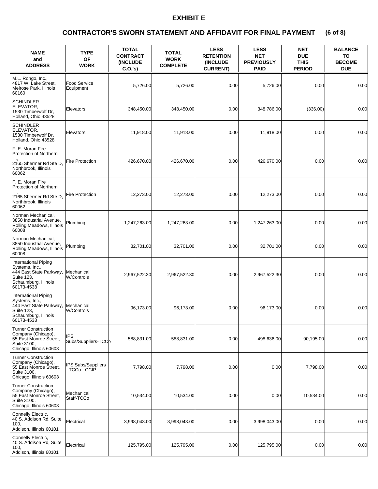## **(6 of 8) CONTRACTOR'S SWORN STATEMENT AND AFFIDAVIT FOR FINAL PAYMENT**

| <b>NAME</b><br>and<br><b>ADDRESS</b>                                                                                         | <b>TYPE</b><br><b>OF</b><br><b>WORK</b>    | <b>TOTAL</b><br><b>CONTRACT</b><br>(INCLUDE<br>$C.O.'s$ ) | <b>TOTAL</b><br><b>WORK</b><br><b>COMPLETE</b> | <b>LESS</b><br><b>RETENTION</b><br>(INCLUDE<br><b>CURRENT)</b> | <b>LESS</b><br><b>NET</b><br><b>PREVIOUSLY</b><br><b>PAID</b> | <b>NET</b><br><b>DUE</b><br><b>THIS</b><br><b>PERIOD</b> | <b>BALANCE</b><br>TO<br><b>BECOME</b><br><b>DUE</b> |
|------------------------------------------------------------------------------------------------------------------------------|--------------------------------------------|-----------------------------------------------------------|------------------------------------------------|----------------------------------------------------------------|---------------------------------------------------------------|----------------------------------------------------------|-----------------------------------------------------|
| M.L. Rongo, Inc.,<br>4817 W. Lake Street,<br>Melrose Park, Illinois<br>60160                                                 | <b>Food Service</b><br>Equipment           | 5,726.00                                                  | 5,726.00                                       | 0.00                                                           | 5,726.00                                                      | 0.00                                                     | 0.00                                                |
| <b>SCHINDLER</b><br>ELEVATOR.<br>1530 Timberwolf Dr,<br>Holland, Ohio 43528                                                  | Elevators                                  | 348,450.00                                                | 348,450.00                                     | 0.00                                                           | 348,786.00                                                    | (336.00)                                                 | 0.00                                                |
| <b>SCHINDLER</b><br>ELEVATOR.<br>1530 Timberwolf Dr,<br>Holland, Ohio 43528                                                  | Elevators                                  | 11,918.00                                                 | 11,918.00                                      | 0.00                                                           | 11,918.00                                                     | 0.00                                                     | 0.00                                                |
| F. E. Moran Fire<br>Protection of Northern<br>III.,<br>2165 Shermer Rd Ste D,<br>Northbrook, Illinois<br>60062               | <b>Fire Protection</b>                     | 426,670.00                                                | 426,670.00                                     | 0.00                                                           | 426,670.00                                                    | 0.00                                                     | 0.00                                                |
| F. E. Moran Fire<br>Protection of Northern<br>III.,<br>2165 Shermer Rd Ste D,<br>Northbrook, Illinois<br>60062               | <b>Fire Protection</b>                     | 12.273.00                                                 | 12,273.00                                      | 0.00                                                           | 12,273.00                                                     | 0.00                                                     | 0.00                                                |
| Norman Mechanical,<br>3850 Industrial Avenue,<br>Rolling Meadows, Illinois<br>60008                                          | Plumbing                                   | 1,247,263.00                                              | 1,247,263.00                                   | 0.00                                                           | 1,247,263.00                                                  | 0.00                                                     | 0.00                                                |
| Norman Mechanical,<br>3850 Industrial Avenue,<br>Rolling Meadows, Illinois<br>60008                                          | Plumbing                                   | 32,701.00                                                 | 32,701.00                                      | 0.00                                                           | 32,701.00                                                     | 0.00                                                     | 0.00                                                |
| International Piping<br>Systems, Inc.,<br>444 East State Parkway,<br>Suite 123,<br>Schaumburg, Illinois<br>60173-4538        | Mechanical<br><b>W/Controls</b>            | 2,967,522.30                                              | 2,967,522.30                                   | 0.00                                                           | 2,967,522.30                                                  | 0.00                                                     | 0.00                                                |
| <b>International Piping</b><br>Systems, Inc.,<br>444 East State Parkway,<br>Suite 123,<br>Schaumburg, Illinois<br>60173-4538 | Mechanical<br><b>W/Controls</b>            | 96,173.00                                                 | 96,173.00                                      | 0.00                                                           | 96,173.00                                                     | 0.00                                                     | 0.00                                                |
| <b>Turner Construction</b><br>Company (Chicago),<br>55 East Monroe Street,<br>Suite 3100,<br>Chicago, Illinois 60603         | <b>IPS</b><br>Subs/Suppliers-TCCb          | 588,831.00                                                | 588,831.00                                     | 0.00                                                           | 498,636.00                                                    | 90,195.00                                                | 0.00                                                |
| <b>Turner Construction</b><br>Company (Chicago),<br>55 East Monroe Street,<br>Suite 3100.<br>Chicago, Illinois 60603         | <b>IPS Subs/Suppliers</b><br>- TCCo - CCIP | 7,798.00                                                  | 7,798.00                                       | 0.00                                                           | 0.00                                                          | 7,798.00                                                 | 0.00                                                |
| <b>Turner Construction</b><br>Company (Chicago),<br>55 East Monroe Street,<br>Suite 3100,<br>Chicago, Illinois 60603         | Mechanical<br>Staff-TCCo                   | 10,534.00                                                 | 10,534.00                                      | 0.00                                                           | 0.00                                                          | 10,534.00                                                | 0.00                                                |
| Connelly Electric,<br>40 S. Addison Rd, Suite<br>100,<br>Addison, Illinois 60101                                             | Electrical                                 | 3,998,043.00                                              | 3,998,043.00                                   | 0.00                                                           | 3,998,043.00                                                  | 0.00                                                     | 0.00                                                |
| Connelly Electric,<br>40 S. Addison Rd, Suite<br>100,<br>Addison, Illinois 60101                                             | Electrical                                 | 125,795.00                                                | 125,795.00                                     | 0.00                                                           | 125,795.00                                                    | 0.00                                                     | 0.00                                                |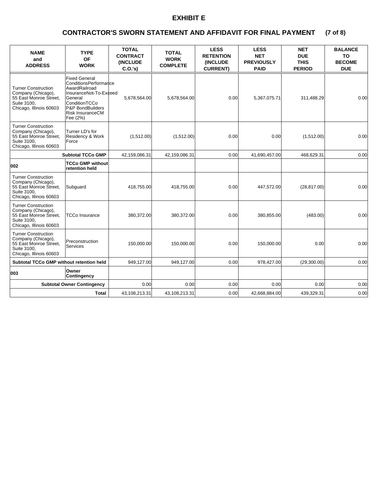## **(7 of 8) CONTRACTOR'S SWORN STATEMENT AND AFFIDAVIT FOR FINAL PAYMENT**

| <b>NAME</b><br>and<br><b>ADDRESS</b>                                                                                 | <b>TYPE</b><br><b>OF</b><br><b>WORK</b>                                                                                                                                  | <b>TOTAL</b><br><b>CONTRACT</b><br><b>(INCLUDE)</b><br>$C.O.'s$ ) | <b>TOTAL</b><br><b>WORK</b><br><b>COMPLETE</b> | <b>LESS</b><br><b>RETENTION</b><br><b>(INCLUDE)</b><br><b>CURRENT)</b> | <b>LESS</b><br><b>NET</b><br><b>PREVIOUSLY</b><br><b>PAID</b> | <b>NET</b><br><b>DUE</b><br><b>THIS</b><br><b>PERIOD</b> | <b>BALANCE</b><br><b>TO</b><br><b>BECOME</b><br><b>DUE</b> |
|----------------------------------------------------------------------------------------------------------------------|--------------------------------------------------------------------------------------------------------------------------------------------------------------------------|-------------------------------------------------------------------|------------------------------------------------|------------------------------------------------------------------------|---------------------------------------------------------------|----------------------------------------------------------|------------------------------------------------------------|
| <b>Turner Construction</b><br>Company (Chicago),<br>55 East Monroe Street,<br>Suite 3100,<br>Chicago, Illinois 60603 | <b>Fixed General</b><br>ConditionsPerformance<br>AwardRailroad<br>InsuranceNot-To-Exceed<br>General<br>ConditionTCCo<br>P&P BondBuilders<br>Risk InsuranceCM<br>Fee (2%) | 5,678,564.00                                                      | 5,678,564.00                                   | 0.00                                                                   | 5,367,075.71                                                  | 311,488.29                                               | 0.00                                                       |
| <b>Turner Construction</b><br>Company (Chicago),<br>55 East Monroe Street,<br>Suite 3100.<br>Chicago, Illinois 60603 | Turner LD's for<br>Residency & Work<br>Force                                                                                                                             | (1,512.00)                                                        | (1,512.00)                                     | 0.00                                                                   | 0.00                                                          | (1,512.00)                                               | 0.00                                                       |
|                                                                                                                      | <b>Subtotal TCCo GMP</b>                                                                                                                                                 | 42,159,086.31                                                     | 42,159,086.31                                  | 0.00                                                                   | 41,690,457.00                                                 | 468,629.31                                               | 0.00                                                       |
| 002                                                                                                                  | <b>TCCo GMP without</b><br>retention held                                                                                                                                |                                                                   |                                                |                                                                        |                                                               |                                                          |                                                            |
| <b>Turner Construction</b><br>Company (Chicago),<br>55 East Monroe Street,<br>Suite 3100.<br>Chicago, Illinois 60603 | Subguard                                                                                                                                                                 | 418,755.00                                                        | 418,755.00                                     | 0.00                                                                   | 447,572.00                                                    | (28, 817.00)                                             | 0.00                                                       |
| <b>Turner Construction</b><br>Company (Chicago),<br>55 East Monroe Street.<br>Suite 3100.<br>Chicago, Illinois 60603 | TCCo Insurance                                                                                                                                                           | 380,372.00                                                        | 380,372.00                                     | 0.00                                                                   | 380,855.00                                                    | (483.00)                                                 | 0.00                                                       |
| <b>Turner Construction</b><br>Company (Chicago),<br>55 East Monroe Street,<br>Suite 3100.<br>Chicago, Illinois 60603 | Preconstruction<br>Services                                                                                                                                              | 150,000.00                                                        | 150,000.00                                     | 0.00                                                                   | 150.000.00                                                    | 0.00                                                     | 0.00                                                       |
| <b>Subtotal TCCo GMP without retention held</b>                                                                      |                                                                                                                                                                          | 949,127.00                                                        | 949,127.00                                     | 0.00                                                                   | 978,427.00                                                    | (29,300.00)                                              | 0.00                                                       |
| 003                                                                                                                  | Owner<br><b>Contingency</b>                                                                                                                                              |                                                                   |                                                |                                                                        |                                                               |                                                          |                                                            |
|                                                                                                                      | <b>Subtotal Owner Contingency</b>                                                                                                                                        | 0.001                                                             | 0.00                                           | 0.00                                                                   | 0.00                                                          | 0.00                                                     | 0.00                                                       |
|                                                                                                                      | Total                                                                                                                                                                    | 43,108,213.31                                                     | 43,108,213.31                                  | 0.00                                                                   | 42,668,884.00                                                 | 439,329.31                                               | 0.00                                                       |